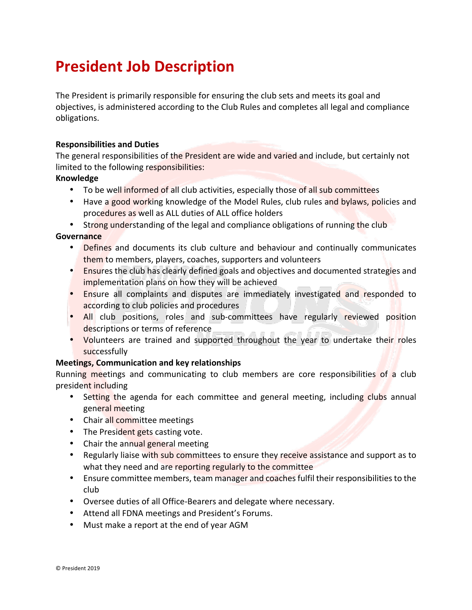# **President Job Description**

The President is primarily responsible for ensuring the club sets and meets its goal and objectives, is administered according to the Club Rules and completes all legal and compliance obligations.

## **Responsibilities and Duties**

The general responsibilities of the President are wide and varied and include, but certainly not limited to the following responsibilities:

### **Knowledge**

- To be well informed of all club activities, especially those of all sub committees
- Have a good working knowledge of the Model Rules, club rules and bylaws, policies and procedures as well as ALL duties of ALL office holders
- Strong understanding of the legal and compliance obligations of running the club

### **Governance**

- Defines and documents its club culture and behaviour and continually communicates them to members, players, coaches, supporters and volunteers
- Ensures the club has clearly defined goals and objectives and documented strategies and implementation plans on how they will be achieved
- Ensure all complaints and disputes are immediately investigated and responded to according to club policies and procedures
- All club positions, roles and sub-committees have regularly reviewed position descriptions or terms of reference
- Volunteers are trained and supported throughout the year to undertake their roles successfully

## **Meetings, Communication and key relationships**

Running meetings and communicating to club members are core responsibilities of a club president including

- Setting the agenda for each committee and general meeting, including clubs annual general meeting
- Chair all committee meetings
- The President gets casting vote.
- Chair the annual general meeting
- Regularly liaise with sub committees to ensure they receive assistance and support as to what they need and are reporting regularly to the committee
- Ensure committee members, team manager and coaches fulfil their responsibilities to the club
- Oversee duties of all Office-Bearers and delegate where necessary.
- Attend all FDNA meetings and President's Forums.
- Must make a report at the end of year AGM